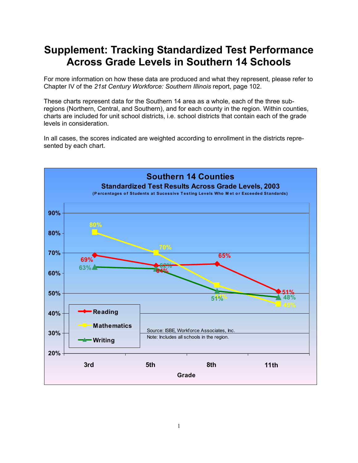## **Supplement: Tracking Standardized Test Performance Across Grade Levels in Southern 14 Schools**

For more information on how these data are produced and what they represent, please refer to Chapter IV of the *21st Century Workforce: Southern Illinois* report, page 102.

These charts represent data for the Southern 14 area as a whole, each of the three subregions (Northern, Central, and Southern), and for each county in the region. Within counties, charts are included for unit school districts, i.e. school districts that contain each of the grade levels in consideration.

In all cases, the scores indicated are weighted according to enrollment in the districts represented by each chart.

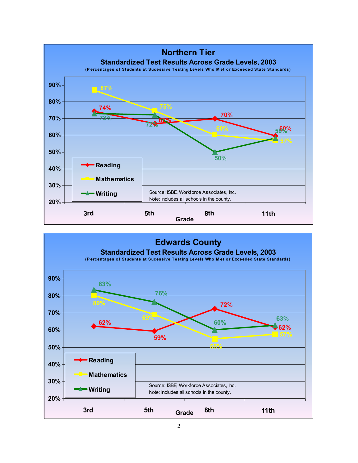

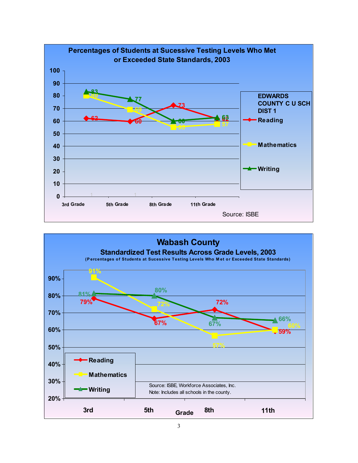

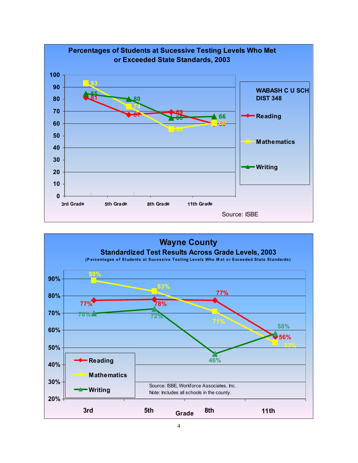

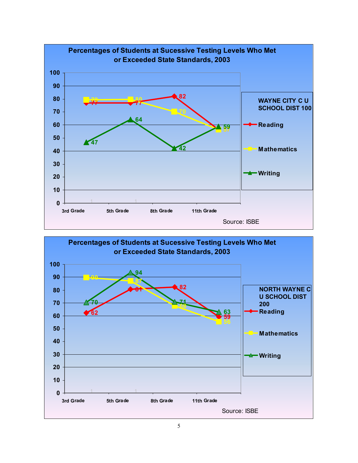

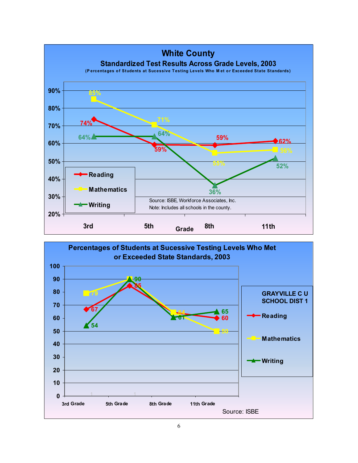

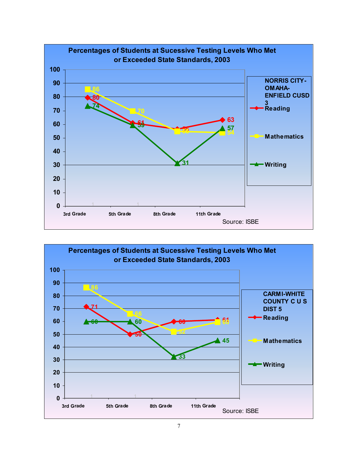

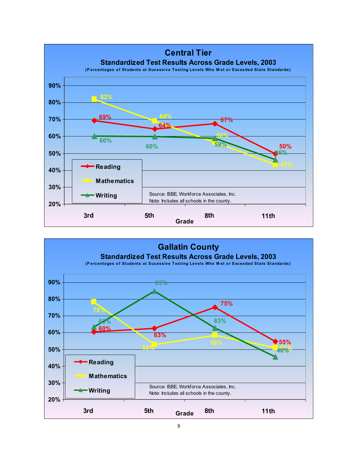

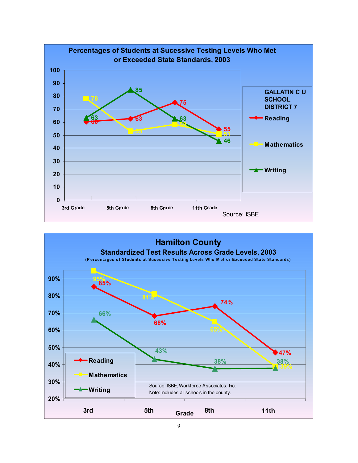

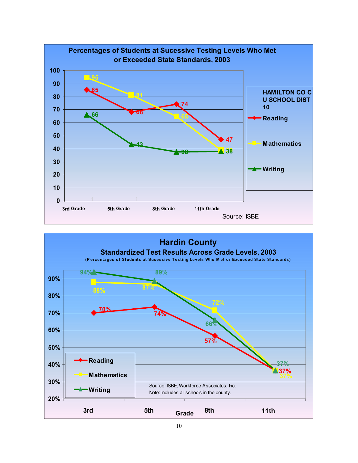

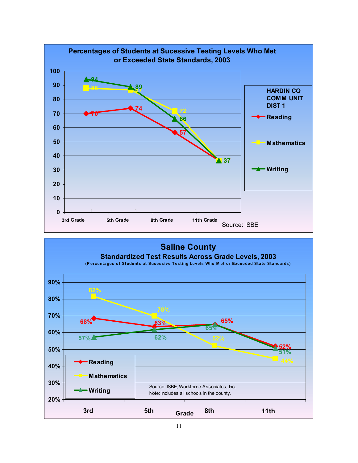

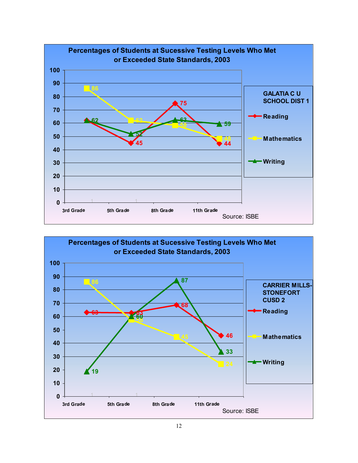

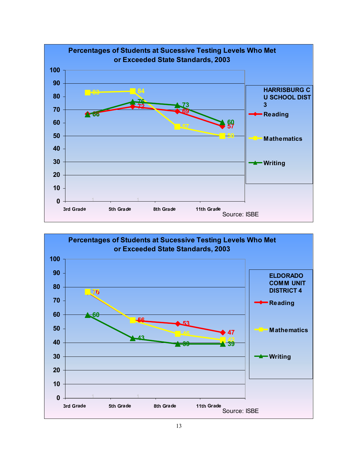

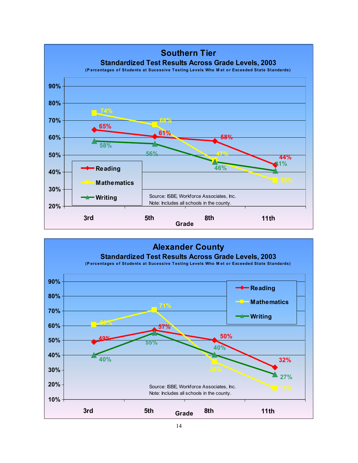

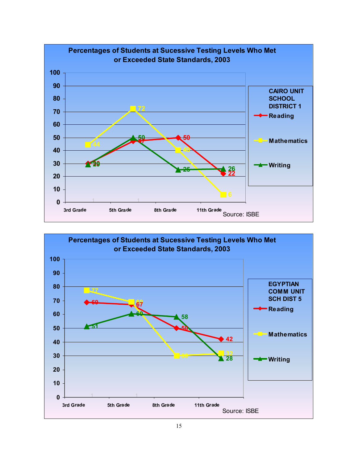

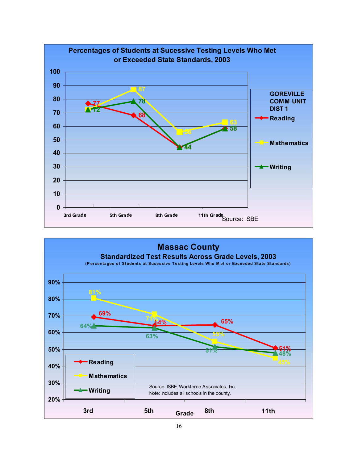

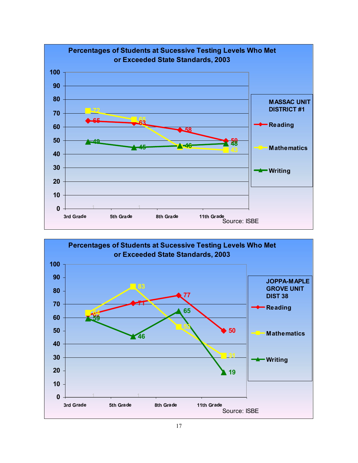

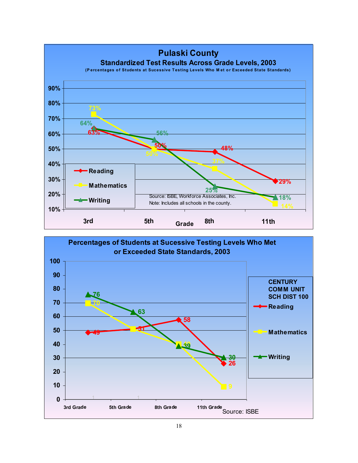

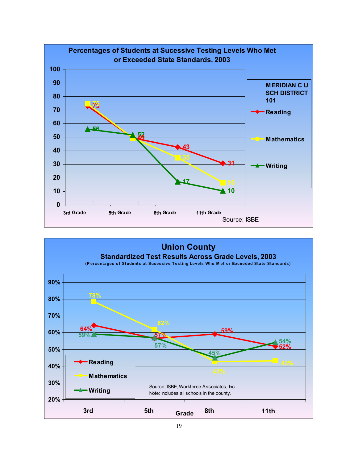

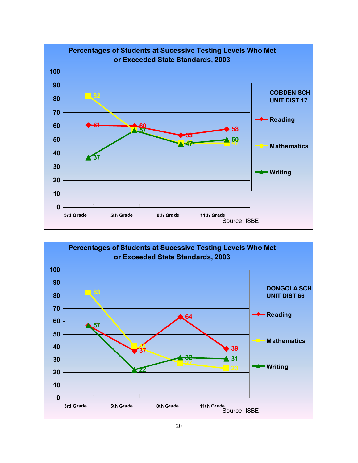